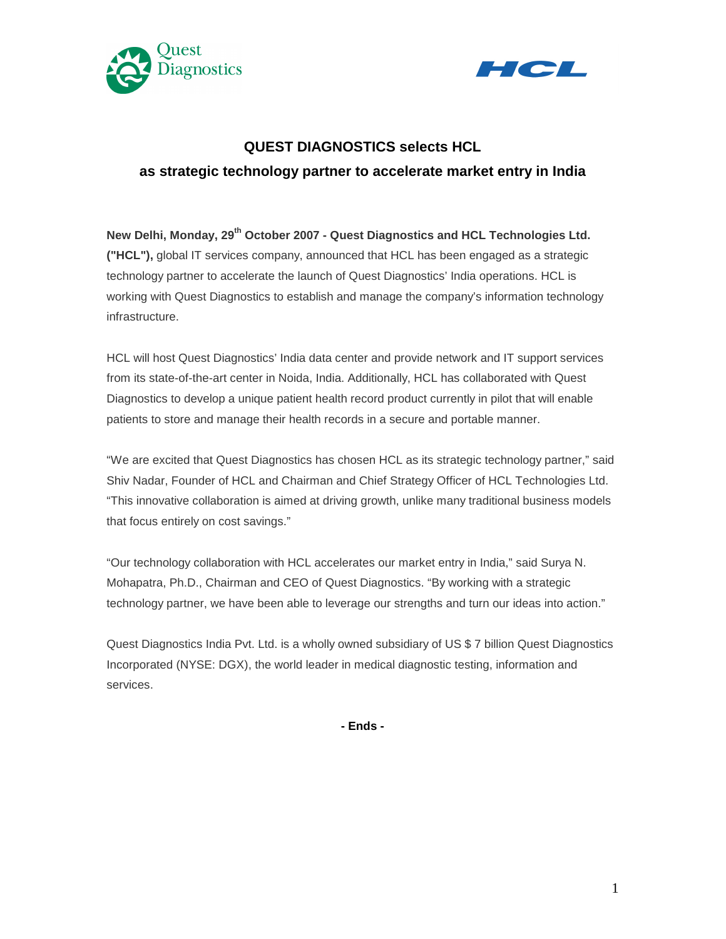



# **QUEST DIAGNOSTICS selects HCL as strategic technology partner to accelerate market entry in India**

**New Delhi, Monday, 29th October 2007 - Quest Diagnostics and HCL Technologies Ltd. ("HCL"),** global IT services company, announced that HCL has been engaged as a strategic technology partner to accelerate the launch of Quest Diagnostics' India operations. HCL is working with Quest Diagnostics to establish and manage the company's information technology infrastructure.

HCL will host Quest Diagnostics' India data center and provide network and IT support services from its state-of-the-art center in Noida, India. Additionally, HCL has collaborated with Quest Diagnostics to develop a unique patient health record product currently in pilot that will enable patients to store and manage their health records in a secure and portable manner.

"We are excited that Quest Diagnostics has chosen HCL as its strategic technology partner," said Shiv Nadar, Founder of HCL and Chairman and Chief Strategy Officer of HCL Technologies Ltd. "This innovative collaboration is aimed at driving growth, unlike many traditional business models that focus entirely on cost savings."

"Our technology collaboration with HCL accelerates our market entry in India," said Surya N. Mohapatra, Ph.D., Chairman and CEO of Quest Diagnostics. "By working with a strategic technology partner, we have been able to leverage our strengths and turn our ideas into action."

Quest Diagnostics India Pvt. Ltd. is a wholly owned subsidiary of US \$ 7 billion Quest Diagnostics Incorporated (NYSE: DGX), the world leader in medical diagnostic testing, information and services.

**- Ends -**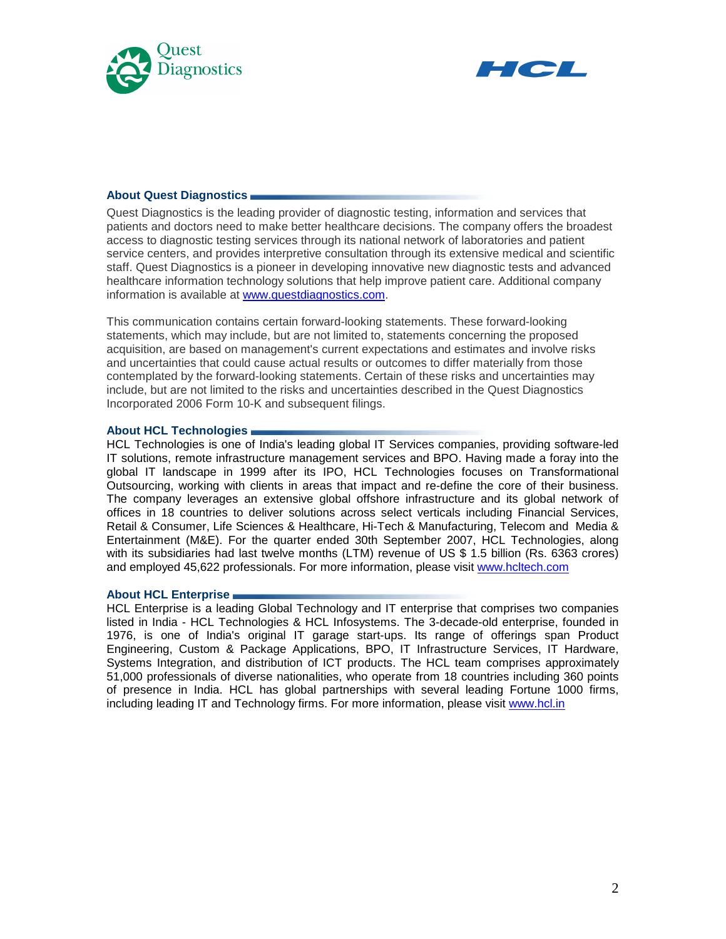



# **About Quest Diagnostics**

Quest Diagnostics is the leading provider of diagnostic testing, information and services that patients and doctors need to make better healthcare decisions. The company offers the broadest access to diagnostic testing services through its national network of laboratories and patient service centers, and provides interpretive consultation through its extensive medical and scientific staff. Quest Diagnostics is a pioneer in developing innovative new diagnostic tests and advanced healthcare information technology solutions that help improve patient care. Additional company information is available at www.questdiagnostics.com.

This communication contains certain forward-looking statements. These forward-looking statements, which may include, but are not limited to, statements concerning the proposed acquisition, are based on management's current expectations and estimates and involve risks and uncertainties that could cause actual results or outcomes to differ materially from those contemplated by the forward-looking statements. Certain of these risks and uncertainties may include, but are not limited to the risks and uncertainties described in the Quest Diagnostics Incorporated 2006 Form 10-K and subsequent filings.

# **About HCL Technologies**

HCL Technologies is one of India's leading global IT Services companies, providing software-led IT solutions, remote infrastructure management services and BPO. Having made a foray into the global IT landscape in 1999 after its IPO, HCL Technologies focuses on Transformational Outsourcing, working with clients in areas that impact and re-define the core of their business. The company leverages an extensive global offshore infrastructure and its global network of offices in 18 countries to deliver solutions across select verticals including Financial Services, Retail & Consumer, Life Sciences & Healthcare, Hi-Tech & Manufacturing, Telecom and Media & Entertainment (M&E). For the quarter ended 30th September 2007, HCL Technologies, along with its subsidiaries had last twelve months (LTM) revenue of US \$ 1.5 billion (Rs. 6363 crores) and employed 45,622 professionals. For more information, please visit www.hcltech.com

### **About HCL Enterprise**

HCL Enterprise is a leading Global Technology and IT enterprise that comprises two companies listed in India - HCL Technologies & HCL Infosystems. The 3-decade-old enterprise, founded in 1976, is one of India's original IT garage start-ups. Its range of offerings span Product Engineering, Custom & Package Applications, BPO, IT Infrastructure Services, IT Hardware, Systems Integration, and distribution of ICT products. The HCL team comprises approximately 51,000 professionals of diverse nationalities, who operate from 18 countries including 360 points of presence in India. HCL has global partnerships with several leading Fortune 1000 firms, including leading IT and Technology firms. For more information, please visit www.hcl.in